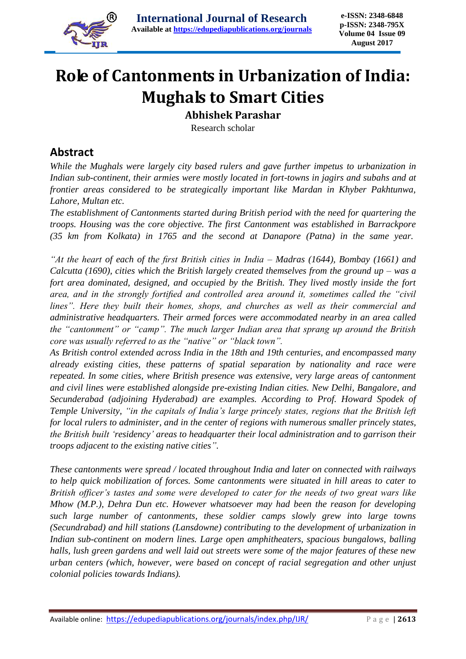

# **Role of Cantonments in Urbanization of India: Mughals to Smart Cities**

**Abhishek Parashar**

Research scholar

#### **Abstract**

*While the Mughals were largely city based rulers and gave further impetus to urbanization in Indian sub-continent, their armies were mostly located in fort-towns in jagirs and subahs and at frontier areas considered to be strategically important like Mardan in Khyber Pakhtunwa, Lahore, Multan etc.* 

*The establishment of Cantonments started during British period with the need for quartering the troops. Housing was the core objective. The first Cantonment was established in Barrackpore (35 km from Kolkata) in 1765 and the second at Danapore (Patna) in the same year.*

*"At the heart of each of the first British cities in India – Madras (1644), Bombay (1661) and Calcutta (1690), cities which the British largely created themselves from the ground up – was a fort area dominated, designed, and occupied by the British. They lived mostly inside the fort area, and in the strongly fortified and controlled area around it, sometimes called the "civil lines". Here they built their homes, shops, and churches as well as their commercial and administrative headquarters. Their armed forces were accommodated nearby in an area called the "cantonment" or "camp". The much larger Indian area that sprang up around the British core was usually referred to as the "native" or "black town".*

*As British control extended across India in the 18th and 19th centuries, and encompassed many already existing cities, these patterns of spatial separation by nationality and race were repeated. In some cities, where British presence was extensive, very large areas of cantonment and civil lines were established alongside pre-existing Indian cities. New Delhi, Bangalore, and Secunderabad (adjoining Hyderabad) are examples. According to Prof. Howard Spodek of Temple University, "in the capitals of India's large princely states, regions that the British left for local rulers to administer, and in the center of regions with numerous smaller princely states, the British built 'residency' areas to headquarter their local administration and to garrison their troops adjacent to the existing native cities".*

*These cantonments were spread / located throughout India and later on connected with railways to help quick mobilization of forces. Some cantonments were situated in hill areas to cater to British officer's tastes and some were developed to cater for the needs of two great wars like Mhow (M.P.), Dehra Dun etc. However whatsoever may had been the reason for developing such large number of cantonments, these soldier camps slowly grew into large towns (Secundrabad) and hill stations (Lansdowne) contributing to the development of urbanization in Indian sub-continent on modern lines. Large open amphitheaters, spacious bungalows, balling halls, lush green gardens and well laid out streets were some of the major features of these new urban centers (which, however, were based on concept of racial segregation and other unjust colonial policies towards Indians).*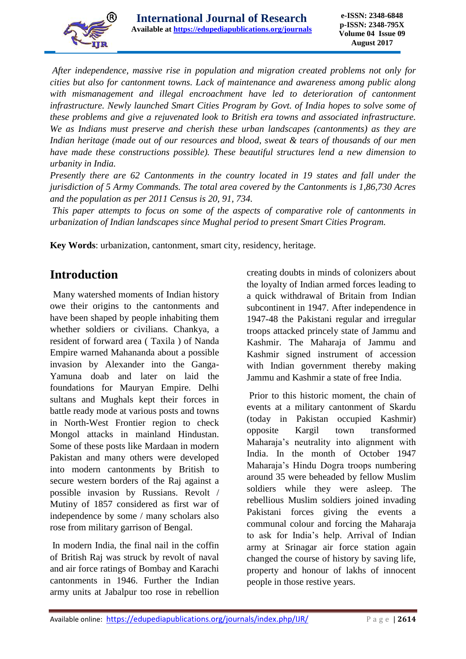

*After independence, massive rise in population and migration created problems not only for cities but also for cantonment towns. Lack of maintenance and awareness among public along*  with mismanagement and illegal encroachment have led to deterioration of cantonment *infrastructure. Newly launched Smart Cities Program by Govt. of India hopes to solve some of these problems and give a rejuvenated look to British era towns and associated infrastructure. We as Indians must preserve and cherish these urban landscapes (cantonments) as they are Indian heritage (made out of our resources and blood, sweat & tears of thousands of our men*  have made these constructions possible). These beautiful structures lend a new dimension to *urbanity in India.*

*Presently there are 62 Cantonments in the country located in 19 states and fall under the jurisdiction of 5 Army Commands. The total area covered by the Cantonments is 1,86,730 Acres and the population as per 2011 Census is 20, 91, 734.*

*This paper attempts to focus on some of the aspects of comparative role of cantonments in urbanization of Indian landscapes since Mughal period to present Smart Cities Program.*

**Key Words**: urbanization, cantonment, smart city, residency, heritage.

### **Introduction**

Many watershed moments of Indian history owe their origins to the cantonments and have been shaped by people inhabiting them whether soldiers or civilians. Chankya, a resident of forward area ( Taxila ) of Nanda Empire warned Mahananda about a possible invasion by Alexander into the Ganga-Yamuna doab and later on laid the foundations for Mauryan Empire. Delhi sultans and Mughals kept their forces in battle ready mode at various posts and towns in North-West Frontier region to check Mongol attacks in mainland Hindustan. Some of these posts like Mardaan in modern Pakistan and many others were developed into modern cantonments by British to secure western borders of the Raj against a possible invasion by Russians. Revolt / Mutiny of 1857 considered as first war of independence by some / many scholars also rose from military garrison of Bengal.

In modern India, the final nail in the coffin of British Raj was struck by revolt of naval and air force ratings of Bombay and Karachi cantonments in 1946. Further the Indian army units at Jabalpur too rose in rebellion creating doubts in minds of colonizers about the loyalty of Indian armed forces leading to a quick withdrawal of Britain from Indian subcontinent in 1947. After independence in 1947-48 the Pakistani regular and irregular troops attacked princely state of Jammu and Kashmir. The Maharaja of Jammu and Kashmir signed instrument of accession with Indian government thereby making Jammu and Kashmir a state of free India.

Prior to this historic moment, the chain of events at a military cantonment of Skardu (today in Pakistan occupied Kashmir) opposite Kargil town transformed Maharaja's neutrality into alignment with India. In the month of October 1947 Maharaja's Hindu Dogra troops numbering around 35 were beheaded by fellow Muslim soldiers while they were asleep. The rebellious Muslim soldiers joined invading Pakistani forces giving the events a communal colour and forcing the Maharaja to ask for India's help. Arrival of Indian army at Srinagar air force station again changed the course of history by saving life, property and honour of lakhs of innocent people in those restive years.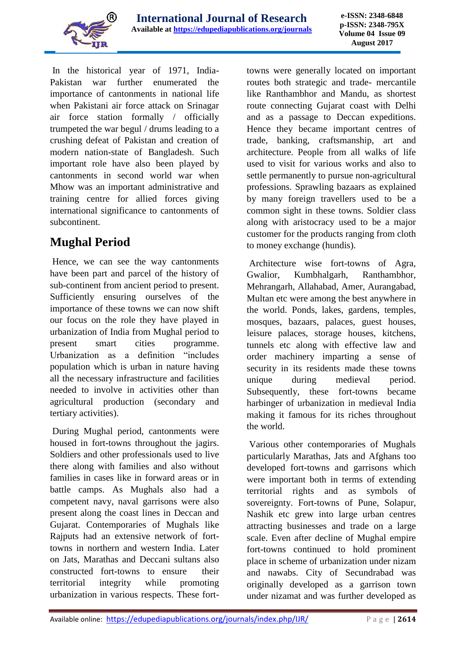

In the historical year of 1971, India-Pakistan war further enumerated the importance of cantonments in national life when Pakistani air force attack on Srinagar air force station formally / officially trumpeted the war begul / drums leading to a crushing defeat of Pakistan and creation of modern nation-state of Bangladesh. Such important role have also been played by cantonments in second world war when Mhow was an important administrative and training centre for allied forces giving international significance to cantonments of subcontinent.

## **Mughal Period**

Hence, we can see the way cantonments have been part and parcel of the history of sub-continent from ancient period to present. Sufficiently ensuring ourselves of the importance of these towns we can now shift our focus on the role they have played in urbanization of India from Mughal period to present smart cities programme. Urbanization as a definition "includes population which is urban in nature having all the necessary infrastructure and facilities needed to involve in activities other than agricultural production (secondary and tertiary activities).

During Mughal period, cantonments were housed in fort-towns throughout the jagirs. Soldiers and other professionals used to live there along with families and also without families in cases like in forward areas or in battle camps. As Mughals also had a competent navy, naval garrisons were also present along the coast lines in Deccan and Gujarat. Contemporaries of Mughals like Rajputs had an extensive network of forttowns in northern and western India. Later on Jats, Marathas and Deccani sultans also constructed fort-towns to ensure their territorial integrity while promoting urbanization in various respects. These forttowns were generally located on important routes both strategic and trade- mercantile like Ranthambhor and Mandu, as shortest route connecting Gujarat coast with Delhi and as a passage to Deccan expeditions. Hence they became important centres of trade, banking, craftsmanship, art and architecture. People from all walks of life used to visit for various works and also to settle permanently to pursue non-agricultural professions. Sprawling bazaars as explained by many foreign travellers used to be a common sight in these towns. Soldier class along with aristocracy used to be a major customer for the products ranging from cloth to money exchange (hundis).

Architecture wise fort-towns of Agra, Gwalior, Kumbhalgarh, Ranthambhor, Mehrangarh, Allahabad, Amer, Aurangabad, Multan etc were among the best anywhere in the world. Ponds, lakes, gardens, temples, mosques, bazaars, palaces, guest houses, leisure palaces, storage houses, kitchens, tunnels etc along with effective law and order machinery imparting a sense of security in its residents made these towns unique during medieval period. Subsequently, these fort-towns became harbinger of urbanization in medieval India making it famous for its riches throughout the world.

Various other contemporaries of Mughals particularly Marathas, Jats and Afghans too developed fort-towns and garrisons which were important both in terms of extending territorial rights and as symbols of sovereignty. Fort-towns of Pune, Solapur, Nashik etc grew into large urban centres attracting businesses and trade on a large scale. Even after decline of Mughal empire fort-towns continued to hold prominent place in scheme of urbanization under nizam and nawabs. City of Secundrabad was originally developed as a garrison town under nizamat and was further developed as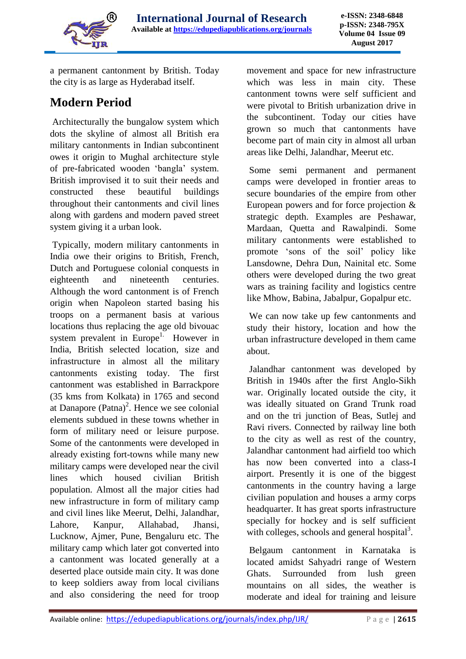

a permanent cantonment by British. Today the city is as large as Hyderabad itself.

### **Modern Period**

Architecturally the bungalow system which dots the skyline of almost all British era military cantonments in Indian subcontinent owes it origin to Mughal architecture style of pre-fabricated wooden 'bangla' system. British improvised it to suit their needs and constructed these beautiful buildings throughout their cantonments and civil lines along with gardens and modern paved street system giving it a urban look.

Typically, modern military cantonments in India owe their origins to British, French, Dutch and Portuguese colonial conquests in eighteenth and nineteenth centuries. Although the word cantonment is of French origin when Napoleon started basing his troops on a permanent basis at various locations thus replacing the age old bivouac system prevalent in Europe<sup>1.</sup> However in India, British selected location, size and infrastructure in almost all the military cantonments existing today. The first cantonment was established in Barrackpore (35 kms from Kolkata) in 1765 and second at Danapore  $(Patna)^2$ . Hence we see colonial elements subdued in these towns whether in form of military need or leisure purpose. Some of the cantonments were developed in already existing fort-towns while many new military camps were developed near the civil lines which housed civilian British population. Almost all the major cities had new infrastructure in form of military camp and civil lines like Meerut, Delhi, Jalandhar, Lahore, Kanpur, Allahabad, Jhansi, Lucknow, Ajmer, Pune, Bengaluru etc. The military camp which later got converted into a cantonment was located generally at a deserted place outside main city. It was done to keep soldiers away from local civilians and also considering the need for troop movement and space for new infrastructure which was less in main city. These cantonment towns were self sufficient and were pivotal to British urbanization drive in the subcontinent. Today our cities have grown so much that cantonments have become part of main city in almost all urban areas like Delhi, Jalandhar, Meerut etc.

Some semi permanent and permanent camps were developed in frontier areas to secure boundaries of the empire from other European powers and for force projection & strategic depth. Examples are Peshawar, Mardaan, Quetta and Rawalpindi. Some military cantonments were established to promote 'sons of the soil' policy like Lansdowne, Dehra Dun, Nainital etc. Some others were developed during the two great wars as training facility and logistics centre like Mhow, Babina, Jabalpur, Gopalpur etc.

We can now take up few cantonments and study their history, location and how the urban infrastructure developed in them came about.

Jalandhar cantonment was developed by British in 1940s after the first Anglo-Sikh war. Originally located outside the city, it was ideally situated on Grand Trunk road and on the tri junction of Beas, Sutlej and Ravi rivers. Connected by railway line both to the city as well as rest of the country, Jalandhar cantonment had airfield too which has now been converted into a class-I airport. Presently it is one of the biggest cantonments in the country having a large civilian population and houses a army corps headquarter. It has great sports infrastructure specially for hockey and is self sufficient with colleges, schools and general hospital $3$ .

Belgaum cantonment in Karnataka is located amidst Sahyadri range of Western Ghats. Surrounded from lush green mountains on all sides, the weather is moderate and ideal for training and leisure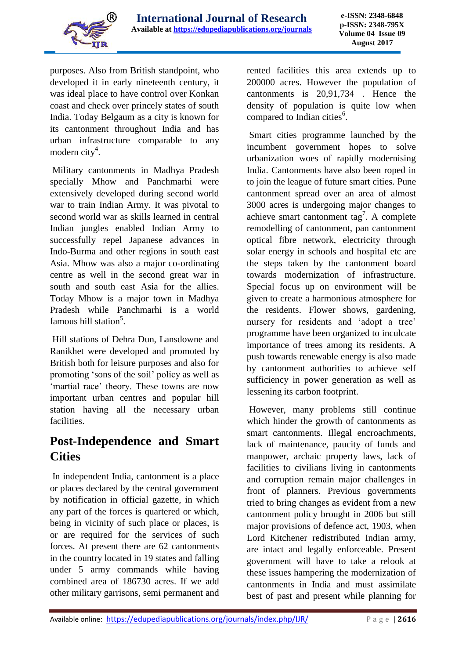

purposes. Also from British standpoint, who developed it in early nineteenth century, it was ideal place to have control over Konkan coast and check over princely states of south India. Today Belgaum as a city is known for its cantonment throughout India and has urban infrastructure comparable to any modern city<sup>4</sup>.

Military cantonments in Madhya Pradesh specially Mhow and Panchmarhi were extensively developed during second world war to train Indian Army. It was pivotal to second world war as skills learned in central Indian jungles enabled Indian Army to successfully repel Japanese advances in Indo-Burma and other regions in south east Asia. Mhow was also a major co-ordinating centre as well in the second great war in south and south east Asia for the allies. Today Mhow is a major town in Madhya Pradesh while Panchmarhi is a world famous hill station<sup>5</sup>.

Hill stations of Dehra Dun, Lansdowne and Ranikhet were developed and promoted by British both for leisure purposes and also for promoting 'sons of the soil' policy as well as 'martial race' theory. These towns are now important urban centres and popular hill station having all the necessary urban facilities.

#### **Post-Independence and Smart Cities**

In independent India, cantonment is a place or places declared by the central government by notification in official gazette, in which any part of the forces is quartered or which, being in vicinity of such place or places, is or are required for the services of such forces. At present there are 62 cantonments in the country located in 19 states and falling under 5 army commands while having combined area of 186730 acres. If we add other military garrisons, semi permanent and rented facilities this area extends up to 200000 acres. However the population of cantonments is 20,91,734 . Hence the density of population is quite low when compared to Indian cities<sup>6</sup>.

Smart cities programme launched by the incumbent government hopes to solve urbanization woes of rapidly modernising India. Cantonments have also been roped in to join the league of future smart cities. Pune cantonment spread over an area of almost 3000 acres is undergoing major changes to achieve smart cantonment tag<sup>7</sup>. A complete remodelling of cantonment, pan cantonment optical fibre network, electricity through solar energy in schools and hospital etc are the steps taken by the cantonment board towards modernization of infrastructure. Special focus up on environment will be given to create a harmonious atmosphere for the residents. Flower shows, gardening, nursery for residents and 'adopt a tree' programme have been organized to inculcate importance of trees among its residents. A push towards renewable energy is also made by cantonment authorities to achieve self sufficiency in power generation as well as lessening its carbon footprint.

However, many problems still continue which hinder the growth of cantonments as smart cantonments. Illegal encroachments, lack of maintenance, paucity of funds and manpower, archaic property laws, lack of facilities to civilians living in cantonments and corruption remain major challenges in front of planners. Previous governments tried to bring changes as evident from a new cantonment policy brought in 2006 but still major provisions of defence act, 1903, when Lord Kitchener redistributed Indian army, are intact and legally enforceable. Present government will have to take a relook at these issues hampering the modernization of cantonments in India and must assimilate best of past and present while planning for